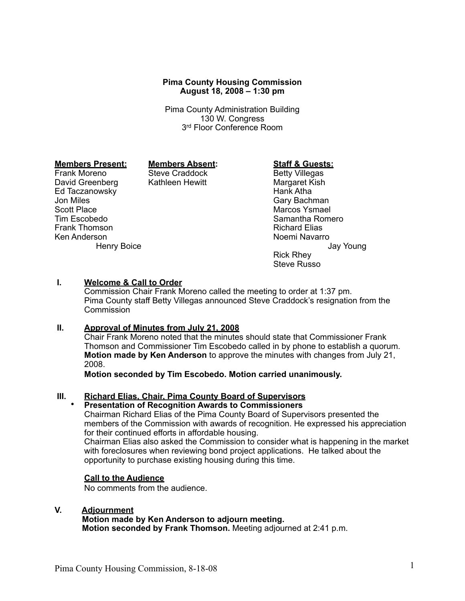## **Pima County Housing Commission August 18, 2008 – 1:30 pm**

Pima County Administration Building 130 W. Congress 3rd Floor Conference Room

Ed Taczanowsky<br>Jon Miles

Frank Thomson

**Members Present: Members Absent: Staff & Guests:**<br>
Frank Moreno Steve Craddock Betty Villegas David Greenberg Kathleen Hewitt Margaret Kish

Steve Craddock<br>
Kathleen Hewitt **Example 20 More Steve Craddock**<br>
Margaret Kish Jon Miles **Cary Bachman**<br>Scott Place **Gary Bachman**<br>Scott Place **Gary Bachman** Scott Place<br>
Tim Escobedo<br>
Tim Escobedo<br>
Marcos Ysmael<br>
Samantha Rome Samantha Romero<br>Richard Flias Ken Anderson<br>Henry Boice Menter Alexander Solice Moemi Navarro Jay Young Rick Rhey Steve Russo

#### **I. Welcome & Call to Order**

Henry Boice

Commission Chair Frank Moreno called the meeting to order at 1:37 pm. Pima County staff Betty Villegas announced Steve Craddock's resignation from the **Commission** 

## **II. Approval of Minutes from July 21, 2008**

Chair Frank Moreno noted that the minutes should state that Commissioner Frank Thomson and Commissioner Tim Escobedo called in by phone to establish a quorum. **Motion made by Ken Anderson** to approve the minutes with changes from July 21, 2008.

**Motion seconded by Tim Escobedo. Motion carried unanimously.**

## **III. Richard Elias, Chair, Pima County Board of Supervisors**

### • **Presentation of Recognition Awards to Commissioners**

Chairman Richard Elias of the Pima County Board of Supervisors presented the members of the Commission with awards of recognition. He expressed his appreciation for their continued efforts in affordable housing.

Chairman Elias also asked the Commission to consider what is happening in the market with foreclosures when reviewing bond project applications. He talked about the opportunity to purchase existing housing during this time.

## **Call to the Audience**

No comments from the audience.

## **V. Adjournment**

**Motion made by Ken Anderson to adjourn meeting. Motion seconded by Frank Thomson.** Meeting adjourned at 2:41 p.m.